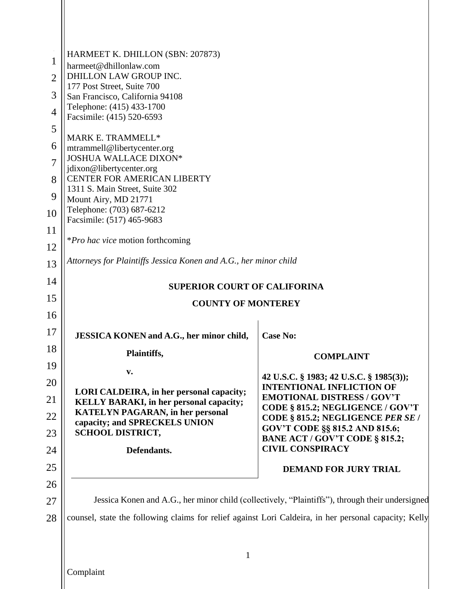| 1<br>$\overline{2}$<br>3<br>4<br>5<br>6<br>7 | HARMEET K. DHILLON (SBN: 207873)<br>harmeet@dhillonlaw.com<br>DHILLON LAW GROUP INC.<br>177 Post Street, Suite 700<br>San Francisco, California 94108<br>Telephone: (415) 433-1700<br>Facsimile: (415) 520-6593<br>MARK E. TRAMMELL*<br>mtrammell@libertycenter.org<br>JOSHUA WALLACE DIXON* |                                                                                                 |  |  |  |
|----------------------------------------------|----------------------------------------------------------------------------------------------------------------------------------------------------------------------------------------------------------------------------------------------------------------------------------------------|-------------------------------------------------------------------------------------------------|--|--|--|
| 8                                            | jdixon@libertycenter.org<br>CENTER FOR AMERICAN LIBERTY                                                                                                                                                                                                                                      |                                                                                                 |  |  |  |
| 9                                            | 1311 S. Main Street, Suite 302<br>Mount Airy, MD 21771                                                                                                                                                                                                                                       |                                                                                                 |  |  |  |
| 10                                           | Telephone: (703) 687-6212<br>Facsimile: (517) 465-9683                                                                                                                                                                                                                                       |                                                                                                 |  |  |  |
| 11                                           |                                                                                                                                                                                                                                                                                              |                                                                                                 |  |  |  |
| 12                                           | <i>*Pro hac vice</i> motion forthcoming                                                                                                                                                                                                                                                      |                                                                                                 |  |  |  |
| 13                                           | Attorneys for Plaintiffs Jessica Konen and A.G., her minor child                                                                                                                                                                                                                             |                                                                                                 |  |  |  |
| 14                                           | <b>SUPERIOR COURT OF CALIFORINA</b>                                                                                                                                                                                                                                                          |                                                                                                 |  |  |  |
| 15                                           | <b>COUNTY OF MONTEREY</b>                                                                                                                                                                                                                                                                    |                                                                                                 |  |  |  |
| 16                                           |                                                                                                                                                                                                                                                                                              |                                                                                                 |  |  |  |
| 17                                           | <b>JESSICA KONEN and A.G., her minor child,</b>                                                                                                                                                                                                                                              | <b>Case No:</b>                                                                                 |  |  |  |
| 18                                           | Plaintiffs,                                                                                                                                                                                                                                                                                  | <b>COMPLAINT</b>                                                                                |  |  |  |
| 19                                           | v.                                                                                                                                                                                                                                                                                           | 42 U.S.C. § 1983; 42 U.S.C. § 1985(3));                                                         |  |  |  |
| 20                                           | LORI CALDEIRA, in her personal capacity;                                                                                                                                                                                                                                                     | <b>INTENTIONAL INFLICTION OF</b><br><b>EMOTIONAL DISTRESS / GOV'T</b>                           |  |  |  |
| 21                                           | <b>KELLY BARAKI, in her personal capacity;</b><br><b>KATELYN PAGARAN, in her personal</b>                                                                                                                                                                                                    | CODE § 815.2; NEGLIGENCE / GOV'T                                                                |  |  |  |
| 22<br>23                                     | capacity; and SPRECKELS UNION<br><b>SCHOOL DISTRICT,</b>                                                                                                                                                                                                                                     | CODE § 815.2; NEGLIGENCE PER SE /<br>GOV'T CODE §§ 815.2 AND 815.6;                             |  |  |  |
| 24                                           | Defendants.                                                                                                                                                                                                                                                                                  | BANE ACT / GOV'T CODE § 815.2;<br><b>CIVIL CONSPIRACY</b>                                       |  |  |  |
| 25                                           |                                                                                                                                                                                                                                                                                              | <b>DEMAND FOR JURY TRIAL</b>                                                                    |  |  |  |
| 26                                           |                                                                                                                                                                                                                                                                                              |                                                                                                 |  |  |  |
| 27                                           |                                                                                                                                                                                                                                                                                              | Jessica Konen and A.G., her minor child (collectively, "Plaintiffs"), through their undersigned |  |  |  |
| 28                                           | counsel, state the following claims for relief against Lori Caldeira, in her personal capacity; Kelly                                                                                                                                                                                        |                                                                                                 |  |  |  |
|                                              |                                                                                                                                                                                                                                                                                              |                                                                                                 |  |  |  |
|                                              | $\mathbf{1}$                                                                                                                                                                                                                                                                                 |                                                                                                 |  |  |  |
|                                              | Complaint                                                                                                                                                                                                                                                                                    |                                                                                                 |  |  |  |

 $\mathsf{I}\mathsf{I}$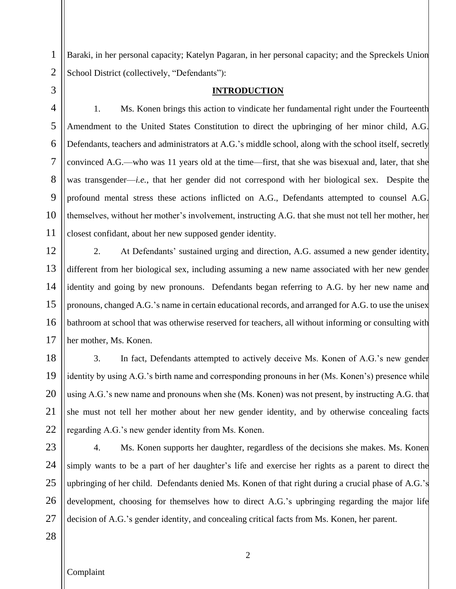Baraki, in her personal capacity; Katelyn Pagaran, in her personal capacity; and the Spreckels Union School District (collectively, "Defendants"):

3

4

5

6

7

8

9

10

11

1

2

## **INTRODUCTION**

1. Ms. Konen brings this action to vindicate her fundamental right under the Fourteenth Amendment to the United States Constitution to direct the upbringing of her minor child, A.G. Defendants, teachers and administrators at A.G.'s middle school, along with the school itself, secretly convinced A.G.—who was 11 years old at the time—first, that she was bisexual and, later, that she was transgender—*i.e.*, that her gender did not correspond with her biological sex. Despite the profound mental stress these actions inflicted on A.G., Defendants attempted to counsel A.G. themselves, without her mother's involvement, instructing A.G. that she must not tell her mother, her closest confidant, about her new supposed gender identity.

12 13 14 15 16 17 2. At Defendants' sustained urging and direction, A.G. assumed a new gender identity, different from her biological sex, including assuming a new name associated with her new gender identity and going by new pronouns. Defendants began referring to A.G. by her new name and pronouns, changed A.G.'s name in certain educational records, and arranged for A.G. to use the unisex bathroom at school that was otherwise reserved for teachers, all without informing or consulting with her mother, Ms. Konen.

18 19 20 21 3. In fact, Defendants attempted to actively deceive Ms. Konen of A.G.'s new gender identity by using A.G.'s birth name and corresponding pronouns in her (Ms. Konen's) presence while using A.G.'s new name and pronouns when she (Ms. Konen) was not present, by instructing A.G. that she must not tell her mother about her new gender identity, and by otherwise concealing facts regarding A.G.'s new gender identity from Ms. Konen.

4. Ms. Konen supports her daughter, regardless of the decisions she makes. Ms. Konen simply wants to be a part of her daughter's life and exercise her rights as a parent to direct the upbringing of her child. Defendants denied Ms. Konen of that right during a crucial phase of A.G.'s development, choosing for themselves how to direct A.G.'s upbringing regarding the major life decision of A.G.'s gender identity, and concealing critical facts from Ms. Konen, her parent.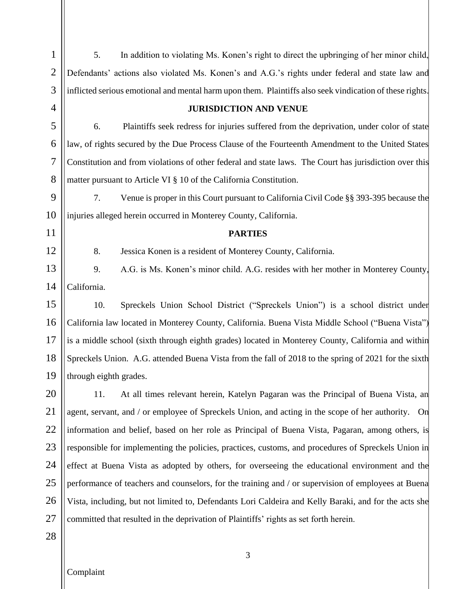1 2 3 4 5 6 7 8 9 10 11 12 13 14 15 16 17 18 19 20 21 22 23 24 25 26 27 28 5. In addition to violating Ms. Konen's right to direct the upbringing of her minor child, Defendants' actions also violated Ms. Konen's and A.G.'s rights under federal and state law and inflicted serious emotional and mental harm upon them. Plaintiffs also seek vindication of these rights. **JURISDICTION AND VENUE** 6. Plaintiffs seek redress for injuries suffered from the deprivation, under color of state law, of rights secured by the Due Process Clause of the Fourteenth Amendment to the United States Constitution and from violations of other federal and state laws. The Court has jurisdiction over this matter pursuant to Article VI § 10 of the California Constitution. 7. Venue is proper in this Court pursuant to California Civil Code §§ 393-395 because the injuries alleged herein occurred in Monterey County, California. **PARTIES** 8. Jessica Konen is a resident of Monterey County, California. 9. A.G. is Ms. Konen's minor child. A.G. resides with her mother in Monterey County, California. 10. Spreckels Union School District ("Spreckels Union") is a school district under California law located in Monterey County, California. Buena Vista Middle School ("Buena Vista") is a middle school (sixth through eighth grades) located in Monterey County, California and within Spreckels Union. A.G. attended Buena Vista from the fall of 2018 to the spring of 2021 for the sixth through eighth grades. 11. At all times relevant herein, Katelyn Pagaran was the Principal of Buena Vista, an agent, servant, and / or employee of Spreckels Union, and acting in the scope of her authority. On information and belief, based on her role as Principal of Buena Vista, Pagaran, among others, is responsible for implementing the policies, practices, customs, and procedures of Spreckels Union in effect at Buena Vista as adopted by others, for overseeing the educational environment and the performance of teachers and counselors, for the training and / or supervision of employees at Buena Vista, including, but not limited to, Defendants Lori Caldeira and Kelly Baraki, and for the acts she committed that resulted in the deprivation of Plaintiffs' rights as set forth herein.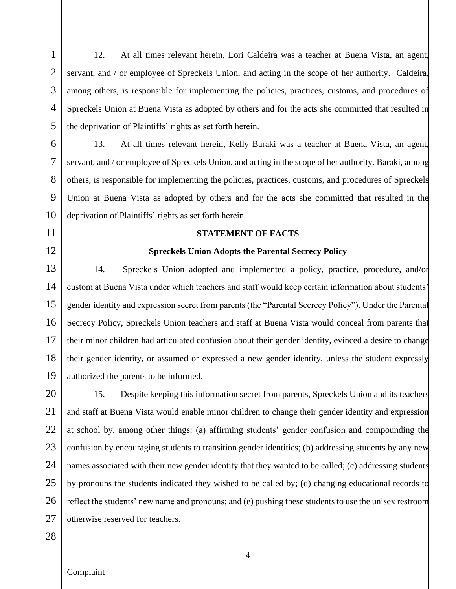12. At all times relevant herein, Lori Caldeira was a teacher at Buena Vista, an agent, servant, and / or employee of Spreckels Union, and acting in the scope of her authority. Caldeira, among others, is responsible for implementing the policies, practices, customs, and procedures of Spreckels Union at Buena Vista as adopted by others and for the acts she committed that resulted in the deprivation of Plaintiffs' rights as set forth herein.

13. At all times relevant herein, Kelly Baraki was a teacher at Buena Vista, an agent, servant, and / or employee of Spreckels Union, and acting in the scope of her authority. Baraki, among others, is responsible for implementing the policies, practices, customs, and procedures of Spreckels Union at Buena Vista as adopted by others and for the acts she committed that resulted in the deprivation of Plaintiffs' rights as set forth herein.

### **STATEMENT OF FACTS**

#### **Spreckels Union Adopts the Parental Secrecy Policy**

13 14 15 16 17 18 19 14. Spreckels Union adopted and implemented a policy, practice, procedure, and/or custom at Buena Vista under which teachers and staff would keep certain information about students' gender identity and expression secret from parents (the "Parental Secrecy Policy"). Under the Parental Secrecy Policy, Spreckels Union teachers and staff at Buena Vista would conceal from parents that their minor children had articulated confusion about their gender identity, evinced a desire to change their gender identity, or assumed or expressed a new gender identity, unless the student expressly authorized the parents to be informed.

20 21 22 23 24 25 26 27 15. Despite keeping this information secret from parents, Spreckels Union and its teachers and staff at Buena Vista would enable minor children to change their gender identity and expression at school by, among other things: (a) affirming students' gender confusion and compounding the confusion by encouraging students to transition gender identities; (b) addressing students by any new names associated with their new gender identity that they wanted to be called; (c) addressing students by pronouns the students indicated they wished to be called by; (d) changing educational records to reflect the students' new name and pronouns; and (e) pushing these students to use the unisex restroom otherwise reserved for teachers.

28

1

2

3

4

5

6

7

8

9

10

11

12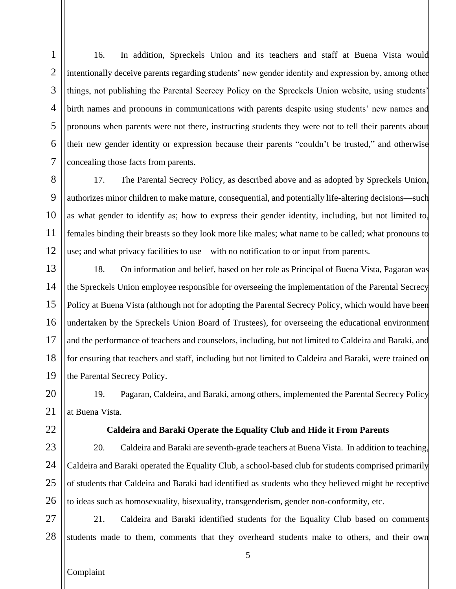1 2 3 4 5 6 7 16. In addition, Spreckels Union and its teachers and staff at Buena Vista would intentionally deceive parents regarding students' new gender identity and expression by, among other things, not publishing the Parental Secrecy Policy on the Spreckels Union website, using students' birth names and pronouns in communications with parents despite using students' new names and pronouns when parents were not there, instructing students they were not to tell their parents about their new gender identity or expression because their parents "couldn't be trusted," and otherwise concealing those facts from parents.

8 9 10 11 12 17. The Parental Secrecy Policy, as described above and as adopted by Spreckels Union, authorizes minor children to make mature, consequential, and potentially life-altering decisions—such as what gender to identify as; how to express their gender identity, including, but not limited to, females binding their breasts so they look more like males; what name to be called; what pronouns to use; and what privacy facilities to use—with no notification to or input from parents.

13 14 15 16 17 18 19 18. On information and belief, based on her role as Principal of Buena Vista, Pagaran was the Spreckels Union employee responsible for overseeing the implementation of the Parental Secrecy Policy at Buena Vista (although not for adopting the Parental Secrecy Policy, which would have been undertaken by the Spreckels Union Board of Trustees), for overseeing the educational environment and the performance of teachers and counselors, including, but not limited to Caldeira and Baraki, and for ensuring that teachers and staff, including but not limited to Caldeira and Baraki, were trained on the Parental Secrecy Policy.

20 21 19. Pagaran, Caldeira, and Baraki, among others, implemented the Parental Secrecy Policy at Buena Vista.

### **Caldeira and Baraki Operate the Equality Club and Hide it From Parents**

23 24 25 26 20. Caldeira and Baraki are seventh-grade teachers at Buena Vista. In addition to teaching, Caldeira and Baraki operated the Equality Club, a school-based club for students comprised primarily of students that Caldeira and Baraki had identified as students who they believed might be receptive to ideas such as homosexuality, bisexuality, transgenderism, gender non-conformity, etc*.*

27 28 21. Caldeira and Baraki identified students for the Equality Club based on comments students made to them, comments that they overheard students make to others, and their own

Complaint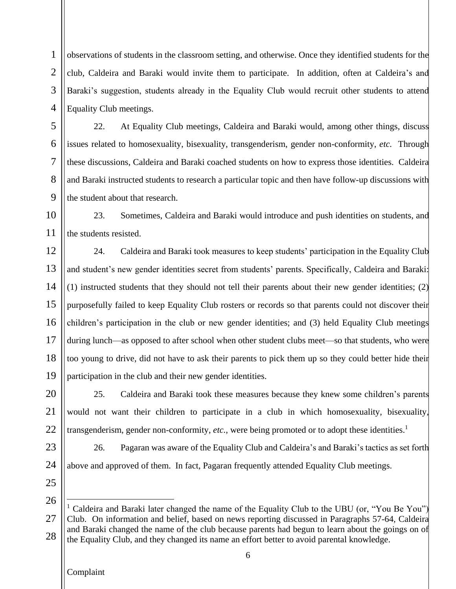1 2 3 4 observations of students in the classroom setting, and otherwise. Once they identified students for the club, Caldeira and Baraki would invite them to participate. In addition, often at Caldeira's and Baraki's suggestion, students already in the Equality Club would recruit other students to attend Equality Club meetings.

22. At Equality Club meetings, Caldeira and Baraki would, among other things, discuss issues related to homosexuality, bisexuality, transgenderism, gender non-conformity, *etc.* Through these discussions, Caldeira and Baraki coached students on how to express those identities. Caldeira and Baraki instructed students to research a particular topic and then have follow-up discussions with the student about that research.

10 11 23. Sometimes, Caldeira and Baraki would introduce and push identities on students, and the students resisted.

12 13 14 15 16 17 18 19 24. Caldeira and Baraki took measures to keep students' participation in the Equality Club and student's new gender identities secret from students' parents. Specifically, Caldeira and Baraki: (1) instructed students that they should not tell their parents about their new gender identities; (2) purposefully failed to keep Equality Club rosters or records so that parents could not discover their children's participation in the club or new gender identities; and (3) held Equality Club meetings during lunch—as opposed to after school when other student clubs meet—so that students, who were too young to drive, did not have to ask their parents to pick them up so they could better hide their participation in the club and their new gender identities.

20 21 22 25. Caldeira and Baraki took these measures because they knew some children's parents would not want their children to participate in a club in which homosexuality, bisexuality, transgenderism, gender non-conformity, *etc.*, were being promoted or to adopt these identities.<sup>1</sup>

26. Pagaran was aware of the Equality Club and Caldeira's and Baraki's tactics as set forth above and approved of them. In fact, Pagaran frequently attended Equality Club meetings.

25 26

 $\overline{a}$ 

23

24

5

6

7

8

<sup>27</sup> 28 <sup>1</sup> Caldeira and Baraki later changed the name of the Equality Club to the UBU (or, "You Be You") Club. On information and belief, based on news reporting discussed in Paragraphs 57-64, Caldeira and Baraki changed the name of the club because parents had begun to learn about the goings on of the Equality Club, and they changed its name an effort better to avoid parental knowledge.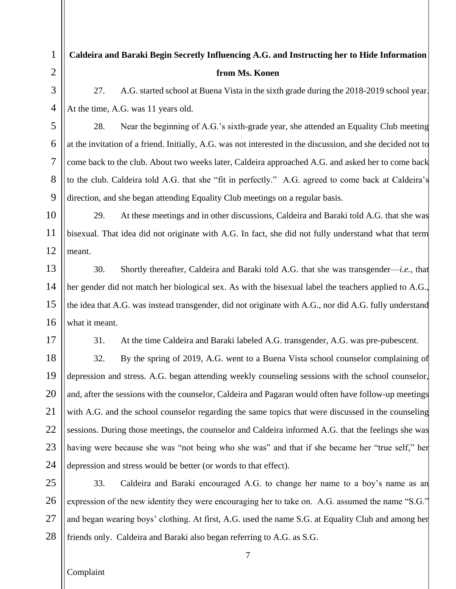## **Caldeira and Baraki Begin Secretly Influencing A.G. and Instructing her to Hide Information from Ms. Konen**

27. A.G. started school at Buena Vista in the sixth grade during the 2018-2019 school year. At the time, A.G. was 11 years old.

28. Near the beginning of A.G.'s sixth-grade year, she attended an Equality Club meeting at the invitation of a friend. Initially, A.G. was not interested in the discussion, and she decided not to come back to the club. About two weeks later, Caldeira approached A.G. and asked her to come back to the club. Caldeira told A.G. that she "fit in perfectly." A.G. agreed to come back at Caldeira's direction, and she began attending Equality Club meetings on a regular basis.

29. At these meetings and in other discussions, Caldeira and Baraki told A.G. that she was bisexual. That idea did not originate with A.G. In fact, she did not fully understand what that term meant.

30. Shortly thereafter, Caldeira and Baraki told A.G. that she was transgender—*i.e.*, that her gender did not match her biological sex. As with the bisexual label the teachers applied to A.G., the idea that A.G. was instead transgender, did not originate with A.G., nor did A.G. fully understand what it meant.

31. At the time Caldeira and Baraki labeled A.G. transgender, A.G. was pre-pubescent.

32. By the spring of 2019, A.G. went to a Buena Vista school counselor complaining of depression and stress. A.G. began attending weekly counseling sessions with the school counselor, and, after the sessions with the counselor, Caldeira and Pagaran would often have follow-up meetings with A.G. and the school counselor regarding the same topics that were discussed in the counseling sessions. During those meetings, the counselor and Caldeira informed A.G. that the feelings she was having were because she was "not being who she was" and that if she became her "true self," her depression and stress would be better (or words to that effect).

25 26 27 28 33. Caldeira and Baraki encouraged A.G. to change her name to a boy's name as an expression of the new identity they were encouraging her to take on. A.G. assumed the name "S.G." and began wearing boys' clothing. At first, A.G. used the name S.G. at Equality Club and among her friends only. Caldeira and Baraki also began referring to A.G. as S.G.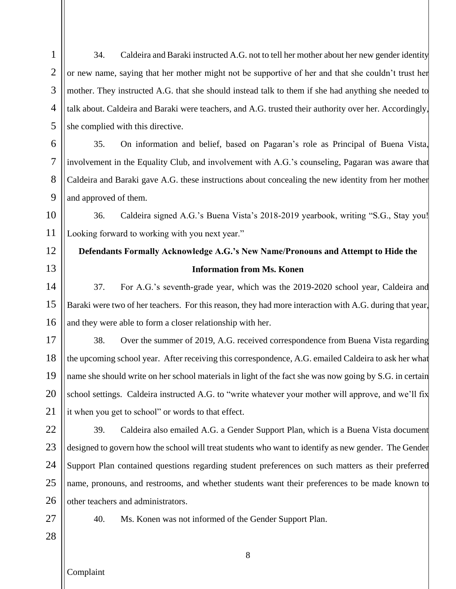1 2 3 4 5 6 34. Caldeira and Baraki instructed A.G. not to tell her mother about her new gender identity or new name, saying that her mother might not be supportive of her and that she couldn't trust her mother. They instructed A.G. that she should instead talk to them if she had anything she needed to talk about. Caldeira and Baraki were teachers, and A.G. trusted their authority over her. Accordingly, she complied with this directive.

35. On information and belief, based on Pagaran's role as Principal of Buena Vista, involvement in the Equality Club, and involvement with A.G.'s counseling, Pagaran was aware that Caldeira and Baraki gave A.G. these instructions about concealing the new identity from her mother and approved of them.

10 11 36. Caldeira signed A.G.'s Buena Vista's 2018-2019 yearbook, writing "S.G., Stay you! Looking forward to working with you next year."

## **Defendants Formally Acknowledge A.G.'s New Name/Pronouns and Attempt to Hide the Information from Ms. Konen**

14 15 16 37. For A.G.'s seventh-grade year, which was the 2019-2020 school year, Caldeira and Baraki were two of her teachers. For this reason, they had more interaction with A.G. during that year, and they were able to form a closer relationship with her.

17 18 19 20 21 38. Over the summer of 2019, A.G. received correspondence from Buena Vista regarding the upcoming school year. After receiving this correspondence, A.G. emailed Caldeira to ask her what name she should write on her school materials in light of the fact she was now going by S.G. in certain school settings. Caldeira instructed A.G. to "write whatever your mother will approve, and we'll fix it when you get to school" or words to that effect.

22 23 24 25 26 39. Caldeira also emailed A.G. a Gender Support Plan, which is a Buena Vista document designed to govern how the school will treat students who want to identify as new gender. The Gender Support Plan contained questions regarding student preferences on such matters as their preferred name, pronouns, and restrooms, and whether students want their preferences to be made known to other teachers and administrators.

27 28

7

8

9

12

13

40. Ms. Konen was not informed of the Gender Support Plan.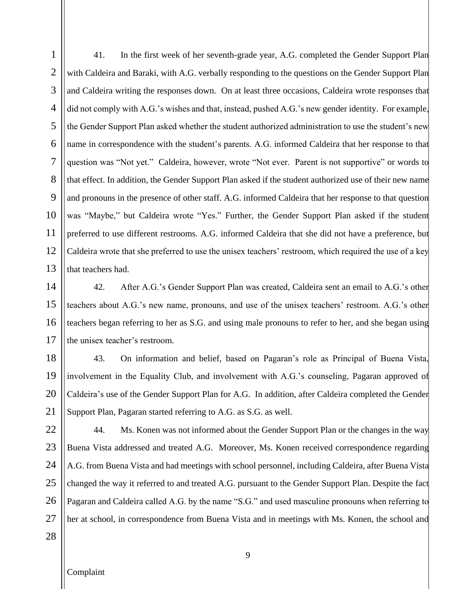1 2 3 4 5 6 7 8 9 10 11 12 13 41. In the first week of her seventh-grade year, A.G. completed the Gender Support Plan with Caldeira and Baraki, with A.G. verbally responding to the questions on the Gender Support Plan and Caldeira writing the responses down. On at least three occasions, Caldeira wrote responses that did not comply with A.G.'s wishes and that, instead, pushed A.G.'s new gender identity. For example, the Gender Support Plan asked whether the student authorized administration to use the student's new name in correspondence with the student's parents. A.G. informed Caldeira that her response to that question was "Not yet." Caldeira, however, wrote "Not ever. Parent is not supportive" or words to that effect. In addition, the Gender Support Plan asked if the student authorized use of their new name and pronouns in the presence of other staff. A.G. informed Caldeira that her response to that question was "Maybe," but Caldeira wrote "Yes." Further, the Gender Support Plan asked if the student preferred to use different restrooms. A.G. informed Caldeira that she did not have a preference, but Caldeira wrote that she preferred to use the unisex teachers' restroom, which required the use of a key that teachers had.

14 15 16 17 42. After A.G.'s Gender Support Plan was created, Caldeira sent an email to A.G.'s other teachers about A.G.'s new name, pronouns, and use of the unisex teachers' restroom. A.G.'s other teachers began referring to her as S.G. and using male pronouns to refer to her, and she began using the unisex teacher's restroom.

18 19 20 21 43. On information and belief, based on Pagaran's role as Principal of Buena Vista, involvement in the Equality Club, and involvement with A.G.'s counseling, Pagaran approved of Caldeira's use of the Gender Support Plan for A.G. In addition, after Caldeira completed the Gender Support Plan, Pagaran started referring to A.G. as S.G. as well.

22 23 24 25 26 27 44. Ms. Konen was not informed about the Gender Support Plan or the changes in the way Buena Vista addressed and treated A.G. Moreover, Ms. Konen received correspondence regarding A.G. from Buena Vista and had meetings with school personnel, including Caldeira, after Buena Vista changed the way it referred to and treated A.G. pursuant to the Gender Support Plan. Despite the fact Pagaran and Caldeira called A.G. by the name "S.G." and used masculine pronouns when referring to her at school, in correspondence from Buena Vista and in meetings with Ms. Konen, the school and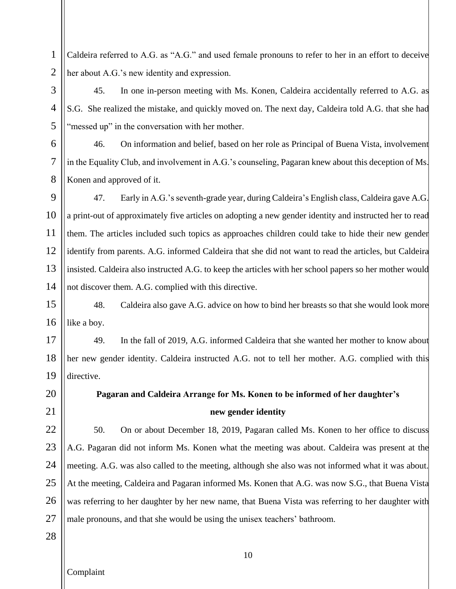1 2 Caldeira referred to A.G. as "A.G." and used female pronouns to refer to her in an effort to deceive her about A.G.'s new identity and expression.

45. In one in-person meeting with Ms. Konen, Caldeira accidentally referred to A.G. as S.G. She realized the mistake, and quickly moved on. The next day, Caldeira told A.G. that she had "messed up" in the conversation with her mother.

46. On information and belief, based on her role as Principal of Buena Vista, involvement in the Equality Club, and involvement in A.G.'s counseling, Pagaran knew about this deception of Ms. Konen and approved of it.

9 10 11 12 13 14 47. Early in A.G.'s seventh-grade year, during Caldeira's English class, Caldeira gave A.G. a print-out of approximately five articles on adopting a new gender identity and instructed her to read them. The articles included such topics as approaches children could take to hide their new gender identify from parents. A.G. informed Caldeira that she did not want to read the articles, but Caldeira insisted. Caldeira also instructed A.G. to keep the articles with her school papers so her mother would not discover them. A.G. complied with this directive.

15 16 48. Caldeira also gave A.G. advice on how to bind her breasts so that she would look more like a boy.

17 18 19 49. In the fall of 2019, A.G. informed Caldeira that she wanted her mother to know about her new gender identity. Caldeira instructed A.G. not to tell her mother. A.G. complied with this directive.

## **Pagaran and Caldeira Arrange for Ms. Konen to be informed of her daughter's new gender identity**

22 23 24 25 26 27 50. On or about December 18, 2019, Pagaran called Ms. Konen to her office to discuss A.G. Pagaran did not inform Ms. Konen what the meeting was about. Caldeira was present at the meeting. A.G. was also called to the meeting, although she also was not informed what it was about. At the meeting, Caldeira and Pagaran informed Ms. Konen that A.G. was now S.G., that Buena Vista was referring to her daughter by her new name, that Buena Vista was referring to her daughter with male pronouns, and that she would be using the unisex teachers' bathroom.

28

20

21

3

4

5

6

7

8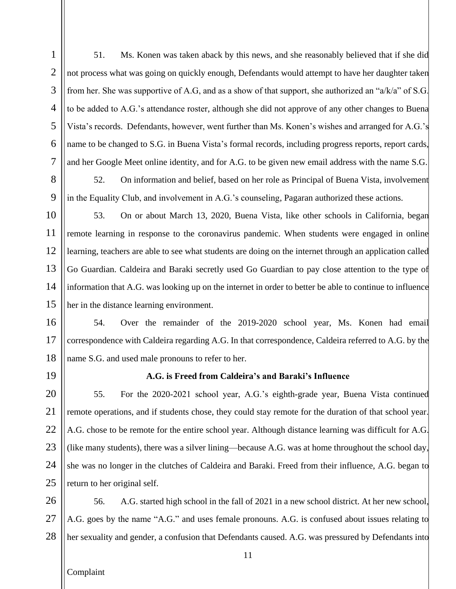51. Ms. Konen was taken aback by this news, and she reasonably believed that if she did not process what was going on quickly enough, Defendants would attempt to have her daughter taken from her. She was supportive of A.G, and as a show of that support, she authorized an "a/k/a" of S.G. to be added to A.G.'s attendance roster, although she did not approve of any other changes to Buena Vista's records. Defendants, however, went further than Ms. Konen's wishes and arranged for A.G.'s name to be changed to S.G. in Buena Vista's formal records, including progress reports, report cards, and her Google Meet online identity, and for A.G. to be given new email address with the name S.G.

52. On information and belief, based on her role as Principal of Buena Vista, involvement in the Equality Club, and involvement in A.G.'s counseling, Pagaran authorized these actions.

53. On or about March 13, 2020, Buena Vista, like other schools in California, began remote learning in response to the coronavirus pandemic. When students were engaged in online learning, teachers are able to see what students are doing on the internet through an application called Go Guardian. Caldeira and Baraki secretly used Go Guardian to pay close attention to the type of information that A.G. was looking up on the internet in order to better be able to continue to influence her in the distance learning environment.

54. Over the remainder of the 2019-2020 school year, Ms. Konen had email correspondence with Caldeira regarding A.G. In that correspondence, Caldeira referred to A.G. by the name S.G. and used male pronouns to refer to her.

## **A.G. is Freed from Caldeira's and Baraki's Influence**

55. For the 2020-2021 school year, A.G.'s eighth-grade year, Buena Vista continued remote operations, and if students chose, they could stay remote for the duration of that school year. A.G. chose to be remote for the entire school year. Although distance learning was difficult for A.G. (like many students), there was a silver lining—because A.G. was at home throughout the school day, she was no longer in the clutches of Caldeira and Baraki. Freed from their influence, A.G. began to return to her original self.

56. A.G. started high school in the fall of 2021 in a new school district. At her new school, A.G. goes by the name "A.G." and uses female pronouns. A.G. is confused about issues relating to her sexuality and gender, a confusion that Defendants caused. A.G. was pressured by Defendants into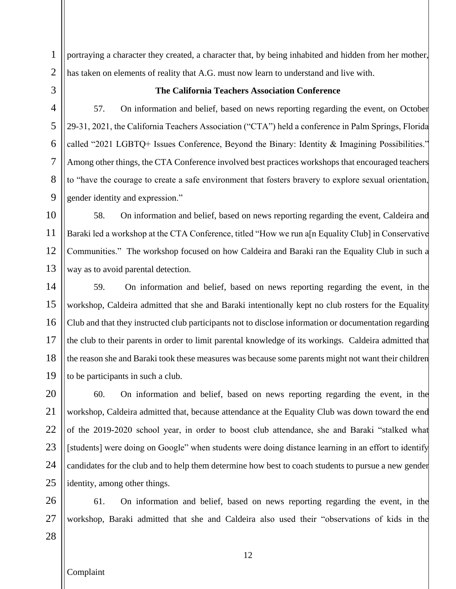portraying a character they created, a character that, by being inhabited and hidden from her mother, has taken on elements of reality that A.G. must now learn to understand and live with.

#### **The California Teachers Association Conference**

57. On information and belief, based on news reporting regarding the event, on October 29-31, 2021, the California Teachers Association ("CTA") held a conference in Palm Springs, Florida called "2021 LGBTQ+ Issues Conference, Beyond the Binary: Identity & Imagining Possibilities." Among other things, the CTA Conference involved best practices workshops that encouraged teachers to "have the courage to create a safe environment that fosters bravery to explore sexual orientation, gender identity and expression."

58. On information and belief, based on news reporting regarding the event, Caldeira and Baraki led a workshop at the CTA Conference, titled "How we run a[n Equality Club] in Conservative Communities." The workshop focused on how Caldeira and Baraki ran the Equality Club in such a way as to avoid parental detection.

59. On information and belief, based on news reporting regarding the event, in the workshop, Caldeira admitted that she and Baraki intentionally kept no club rosters for the Equality Club and that they instructed club participants not to disclose information or documentation regarding the club to their parents in order to limit parental knowledge of its workings. Caldeira admitted that the reason she and Baraki took these measures was because some parents might not want their children to be participants in such a club.

60. On information and belief, based on news reporting regarding the event, in the workshop, Caldeira admitted that, because attendance at the Equality Club was down toward the end of the 2019-2020 school year, in order to boost club attendance, she and Baraki "stalked what [students] were doing on Google" when students were doing distance learning in an effort to identify candidates for the club and to help them determine how best to coach students to pursue a new gender identity, among other things.

61. On information and belief, based on news reporting regarding the event, in the workshop, Baraki admitted that she and Caldeira also used their "observations of kids in the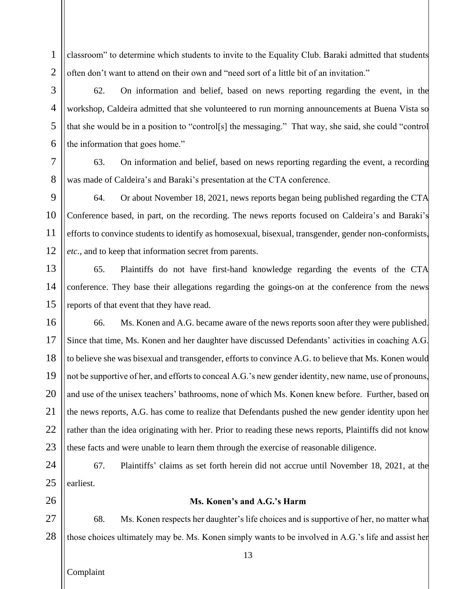1 2 classroom" to determine which students to invite to the Equality Club. Baraki admitted that students often don't want to attend on their own and "need sort of a little bit of an invitation."

62. On information and belief, based on news reporting regarding the event, in the workshop, Caldeira admitted that she volunteered to run morning announcements at Buena Vista so that she would be in a position to "control[s] the messaging." That way, she said, she could "control the information that goes home."

63. On information and belief, based on news reporting regarding the event, a recording was made of Caldeira's and Baraki's presentation at the CTA conference.

9 10 11 12 64. Or about November 18, 2021, news reports began being published regarding the CTA Conference based, in part, on the recording. The news reports focused on Caldeira's and Baraki's efforts to convince students to identify as homosexual, bisexual, transgender, gender non-conformists, *etc.*, and to keep that information secret from parents.

13 14 15 65. Plaintiffs do not have first-hand knowledge regarding the events of the CTA conference. They base their allegations regarding the goings-on at the conference from the news reports of that event that they have read.

16 17 18 19 20 21 22 23 66. Ms. Konen and A.G. became aware of the news reports soon after they were published. Since that time, Ms. Konen and her daughter have discussed Defendants' activities in coaching A.G. to believe she was bisexual and transgender, efforts to convince A.G. to believe that Ms. Konen would not be supportive of her, and efforts to conceal A.G.'s new gender identity, new name, use of pronouns, and use of the unisex teachers' bathrooms, none of which Ms. Konen knew before. Further, based on the news reports, A.G. has come to realize that Defendants pushed the new gender identity upon her rather than the idea originating with her. Prior to reading these news reports, Plaintiffs did not know these facts and were unable to learn them through the exercise of reasonable diligence.

24 25 67. Plaintiffs' claims as set forth herein did not accrue until November 18, 2021, at the earliest.

26

3

4

5

6

7

8

## **Ms. Konen's and A.G.'s Harm**

27 28 68. Ms. Konen respects her daughter's life choices and is supportive of her, no matter what those choices ultimately may be. Ms. Konen simply wants to be involved in A.G.'s life and assist her

Complaint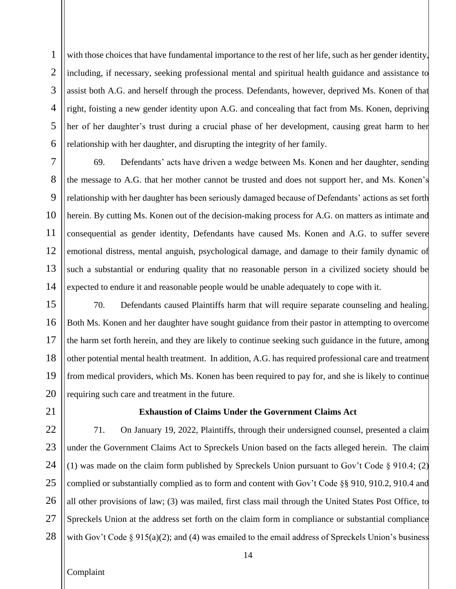1 2 3 4 5 6 with those choices that have fundamental importance to the rest of her life, such as her gender identity, including, if necessary, seeking professional mental and spiritual health guidance and assistance to assist both A.G. and herself through the process. Defendants, however, deprived Ms. Konen of that right, foisting a new gender identity upon A.G. and concealing that fact from Ms. Konen, depriving her of her daughter's trust during a crucial phase of her development, causing great harm to her relationship with her daughter, and disrupting the integrity of her family.

7 8 9 10 11 12 13 14 69. Defendants' acts have driven a wedge between Ms. Konen and her daughter, sending the message to A.G. that her mother cannot be trusted and does not support her, and Ms. Konen's relationship with her daughter has been seriously damaged because of Defendants' actions as set forth herein. By cutting Ms. Konen out of the decision-making process for A.G. on matters as intimate and consequential as gender identity, Defendants have caused Ms. Konen and A.G. to suffer severe emotional distress, mental anguish, psychological damage, and damage to their family dynamic of such a substantial or enduring quality that no reasonable person in a civilized society should be expected to endure it and reasonable people would be unable adequately to cope with it.

15 16 17 18 19 20 70. Defendants caused Plaintiffs harm that will require separate counseling and healing. Both Ms. Konen and her daughter have sought guidance from their pastor in attempting to overcome the harm set forth herein, and they are likely to continue seeking such guidance in the future, among other potential mental health treatment. In addition, A.G. has required professional care and treatment from medical providers, which Ms. Konen has been required to pay for, and she is likely to continue requiring such care and treatment in the future.

21

#### **Exhaustion of Claims Under the Government Claims Act**

22 23 24 25 26 27 28 71. On January 19, 2022, Plaintiffs, through their undersigned counsel, presented a claim under the Government Claims Act to Spreckels Union based on the facts alleged herein. The claim (1) was made on the claim form published by Spreckels Union pursuant to Gov't Code § 910.4; (2) complied or substantially complied as to form and content with Gov't Code  $\S$ § 910, 910.2, 910.4 and all other provisions of law; (3) was mailed, first class mail through the United States Post Office, to Spreckels Union at the address set forth on the claim form in compliance or substantial compliance with Gov't Code  $\S 915(a)(2)$ ; and (4) was emailed to the email address of Spreckels Union's business

Complaint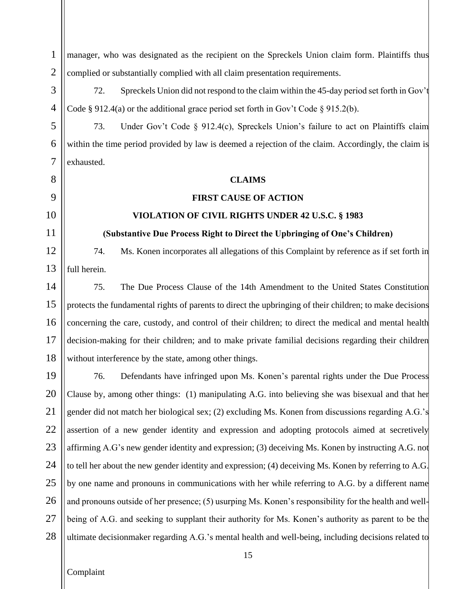manager, who was designated as the recipient on the Spreckels Union claim form. Plaintiffs thus complied or substantially complied with all claim presentation requirements.

72. Spreckels Union did not respond to the claim within the 45-day period set forth in Gov't Code  $\S 912.4(a)$  or the additional grace period set forth in Gov't Code  $\S 915.2(b)$ .

73. Under Gov't Code § 912.4(c), Spreckels Union's failure to act on Plaintiffs claim within the time period provided by law is deemed a rejection of the claim. Accordingly, the claim is

#### **CLAIMS**

## **FIRST CAUSE OF ACTION**

## **VIOLATION OF CIVIL RIGHTS UNDER 42 U.S.C. § 1983**

## **(Substantive Due Process Right to Direct the Upbringing of One's Children)**

74. Ms. Konen incorporates all allegations of this Complaint by reference as if set forth in

75. The Due Process Clause of the 14th Amendment to the United States Constitution protects the fundamental rights of parents to direct the upbringing of their children; to make decisions concerning the care, custody, and control of their children; to direct the medical and mental health decision-making for their children; and to make private familial decisions regarding their children without interference by the state, among other things.

76. Defendants have infringed upon Ms. Konen's parental rights under the Due Process Clause by, among other things: (1) manipulating A.G. into believing she was bisexual and that her gender did not match her biological sex; (2) excluding Ms. Konen from discussions regarding A.G.'s assertion of a new gender identity and expression and adopting protocols aimed at secretively affirming A.G's new gender identity and expression; (3) deceiving Ms. Konen by instructing A.G. not to tell her about the new gender identity and expression; (4) deceiving Ms. Konen by referring to A.G. by one name and pronouns in communications with her while referring to A.G. by a different name and pronouns outside of her presence; (5) usurping Ms. Konen's responsibility for the health and wellbeing of A.G. and seeking to supplant their authority for Ms. Konen's authority as parent to be the ultimate decisionmaker regarding A.G.'s mental health and well-being, including decisions related to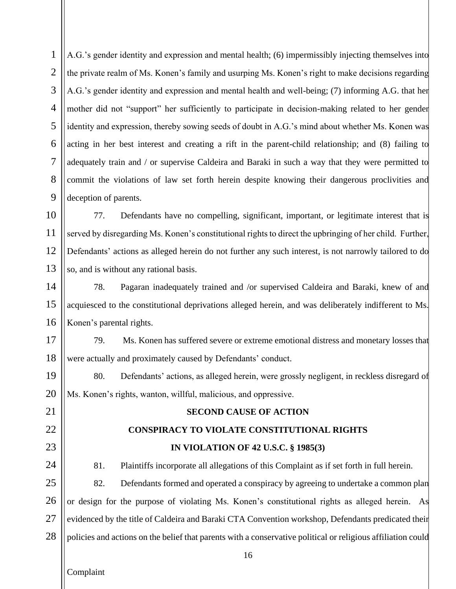1 2 3 4 5 6 7 8 9 A.G.'s gender identity and expression and mental health; (6) impermissibly injecting themselves into the private realm of Ms. Konen's family and usurping Ms. Konen's right to make decisions regarding A.G.'s gender identity and expression and mental health and well-being; (7) informing A.G. that her mother did not "support" her sufficiently to participate in decision-making related to her gender identity and expression, thereby sowing seeds of doubt in A.G.'s mind about whether Ms. Konen was acting in her best interest and creating a rift in the parent-child relationship; and (8) failing to adequately train and / or supervise Caldeira and Baraki in such a way that they were permitted to commit the violations of law set forth herein despite knowing their dangerous proclivities and deception of parents.

10 11 12 13 77. Defendants have no compelling, significant, important, or legitimate interest that is served by disregarding Ms. Konen's constitutional rights to direct the upbringing of her child. Further, Defendants' actions as alleged herein do not further any such interest, is not narrowly tailored to do so, and is without any rational basis.

14 15 16 78. Pagaran inadequately trained and /or supervised Caldeira and Baraki, knew of and acquiesced to the constitutional deprivations alleged herein, and was deliberately indifferent to Ms. Konen's parental rights.

17 18 79. Ms. Konen has suffered severe or extreme emotional distress and monetary losses that were actually and proximately caused by Defendants' conduct.

19 20 80. Defendants' actions, as alleged herein, were grossly negligent, in reckless disregard of Ms. Konen's rights, wanton, willful, malicious, and oppressive.

# **CONSPIRACY TO VIOLATE CONSTITUTIONAL RIGHTS IN VIOLATION OF 42 U.S.C. § 1985(3)**

**SECOND CAUSE OF ACTION**

81. Plaintiffs incorporate all allegations of this Complaint as if set forth in full herein.

25 26 27 28 82. Defendants formed and operated a conspiracy by agreeing to undertake a common plan or design for the purpose of violating Ms. Konen's constitutional rights as alleged herein. As evidenced by the title of Caldeira and Baraki CTA Convention workshop, Defendants predicated their policies and actions on the belief that parents with a conservative political or religious affiliation could

Complaint

21

22

23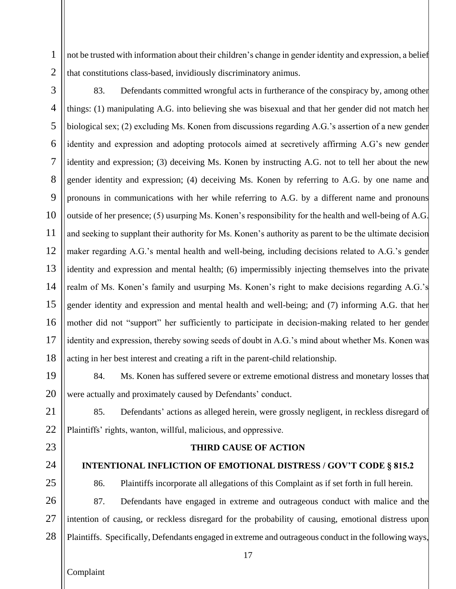1 2 not be trusted with information about their children's change in gender identity and expression, a belief that constitutions class-based, invidiously discriminatory animus.

3 4 5 6 7 8 9 10 11 12 13 14 15 16 17 18 83. Defendants committed wrongful acts in furtherance of the conspiracy by, among other things: (1) manipulating A.G. into believing she was bisexual and that her gender did not match her biological sex; (2) excluding Ms. Konen from discussions regarding A.G.'s assertion of a new gender identity and expression and adopting protocols aimed at secretively affirming A.G's new gender identity and expression; (3) deceiving Ms. Konen by instructing A.G. not to tell her about the new gender identity and expression; (4) deceiving Ms. Konen by referring to A.G. by one name and pronouns in communications with her while referring to A.G. by a different name and pronouns outside of her presence; (5) usurping Ms. Konen's responsibility for the health and well-being of A.G. and seeking to supplant their authority for Ms. Konen's authority as parent to be the ultimate decision maker regarding A.G.'s mental health and well-being, including decisions related to A.G.'s gender identity and expression and mental health; (6) impermissibly injecting themselves into the private realm of Ms. Konen's family and usurping Ms. Konen's right to make decisions regarding A.G.'s gender identity and expression and mental health and well-being; and (7) informing A.G. that her mother did not "support" her sufficiently to participate in decision-making related to her gender identity and expression, thereby sowing seeds of doubt in A.G.'s mind about whether Ms. Konen was acting in her best interest and creating a rift in the parent-child relationship.

19 20 84. Ms. Konen has suffered severe or extreme emotional distress and monetary losses that were actually and proximately caused by Defendants' conduct.

22 85. Defendants' actions as alleged herein, were grossly negligent, in reckless disregard of Plaintiffs' rights, wanton, willful, malicious, and oppressive.

23

21

- 
- 25

24

**INTENTIONAL INFLICTION OF EMOTIONAL DISTRESS / GOV'T CODE § 815.2**

**THIRD CAUSE OF ACTION**

86. Plaintiffs incorporate all allegations of this Complaint as if set forth in full herein.

26 27 28 87. Defendants have engaged in extreme and outrageous conduct with malice and the intention of causing, or reckless disregard for the probability of causing, emotional distress upon Plaintiffs. Specifically, Defendants engaged in extreme and outrageous conduct in the following ways,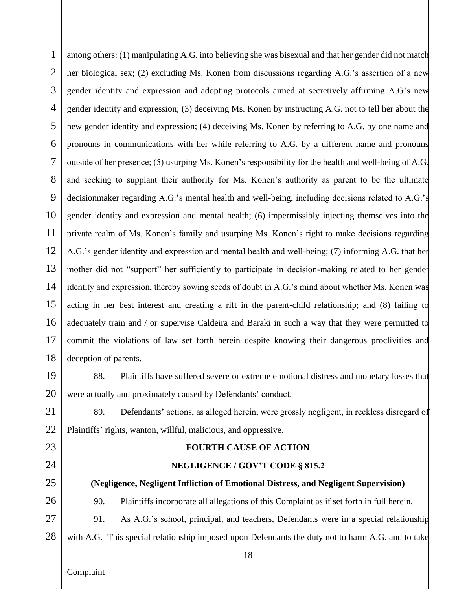1 2 3 4 5 6 7 8 9 10 11 12 13 14 15 16 17 18 among others: (1) manipulating A.G. into believing she was bisexual and that her gender did not match her biological sex; (2) excluding Ms. Konen from discussions regarding A.G.'s assertion of a new gender identity and expression and adopting protocols aimed at secretively affirming A.G's new gender identity and expression; (3) deceiving Ms. Konen by instructing A.G. not to tell her about the new gender identity and expression; (4) deceiving Ms. Konen by referring to A.G. by one name and pronouns in communications with her while referring to A.G. by a different name and pronouns outside of her presence; (5) usurping Ms. Konen's responsibility for the health and well-being of A.G. and seeking to supplant their authority for Ms. Konen's authority as parent to be the ultimate decisionmaker regarding A.G.'s mental health and well-being, including decisions related to A.G.'s gender identity and expression and mental health; (6) impermissibly injecting themselves into the private realm of Ms. Konen's family and usurping Ms. Konen's right to make decisions regarding A.G.'s gender identity and expression and mental health and well-being; (7) informing A.G. that her mother did not "support" her sufficiently to participate in decision-making related to her gender identity and expression, thereby sowing seeds of doubt in A.G.'s mind about whether Ms. Konen was acting in her best interest and creating a rift in the parent-child relationship; and (8) failing to adequately train and / or supervise Caldeira and Baraki in such a way that they were permitted to commit the violations of law set forth herein despite knowing their dangerous proclivities and deception of parents.

19 20 88. Plaintiffs have suffered severe or extreme emotional distress and monetary losses that were actually and proximately caused by Defendants' conduct.

21 22 89. Defendants' actions, as alleged herein, were grossly negligent, in reckless disregard of Plaintiffs' rights, wanton, willful, malicious, and oppressive.

#### **FOURTH CAUSE OF ACTION**

#### **NEGLIGENCE / GOV'T CODE § 815.2**

**(Negligence, Negligent Infliction of Emotional Distress, and Negligent Supervision)**

90. Plaintiffs incorporate all allegations of this Complaint as if set forth in full herein.

27 28 91. As A.G.'s school, principal, and teachers, Defendants were in a special relationship with A.G. This special relationship imposed upon Defendants the duty not to harm A.G. and to take

Complaint

23

24

25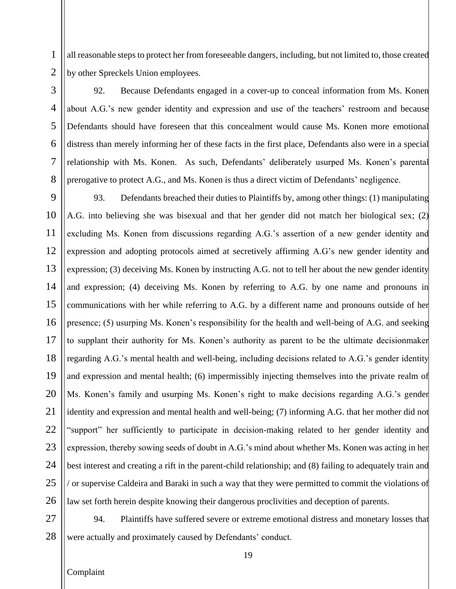all reasonable steps to protect her from foreseeable dangers, including, but not limited to, those created by other Spreckels Union employees.

92. Because Defendants engaged in a cover-up to conceal information from Ms. Konen about A.G.'s new gender identity and expression and use of the teachers' restroom and because Defendants should have foreseen that this concealment would cause Ms. Konen more emotional distress than merely informing her of these facts in the first place, Defendants also were in a special relationship with Ms. Konen. As such, Defendants' deliberately usurped Ms. Konen's parental prerogative to protect A.G., and Ms. Konen is thus a direct victim of Defendants' negligence.

93. Defendants breached their duties to Plaintiffs by, among other things: (1) manipulating A.G. into believing she was bisexual and that her gender did not match her biological sex; (2) excluding Ms. Konen from discussions regarding A.G.'s assertion of a new gender identity and expression and adopting protocols aimed at secretively affirming A.G's new gender identity and expression; (3) deceiving Ms. Konen by instructing A.G. not to tell her about the new gender identity and expression; (4) deceiving Ms. Konen by referring to A.G. by one name and pronouns in communications with her while referring to A.G. by a different name and pronouns outside of her presence; (5) usurping Ms. Konen's responsibility for the health and well-being of A.G. and seeking to supplant their authority for Ms. Konen's authority as parent to be the ultimate decisionmaker regarding A.G.'s mental health and well-being, including decisions related to A.G.'s gender identity and expression and mental health; (6) impermissibly injecting themselves into the private realm of Ms. Konen's family and usurping Ms. Konen's right to make decisions regarding A.G.'s gender identity and expression and mental health and well-being; (7) informing A.G. that her mother did not "support" her sufficiently to participate in decision-making related to her gender identity and expression, thereby sowing seeds of doubt in A.G.'s mind about whether Ms. Konen was acting in her best interest and creating a rift in the parent-child relationship; and (8) failing to adequately train and / or supervise Caldeira and Baraki in such a way that they were permitted to commit the violations of law set forth herein despite knowing their dangerous proclivities and deception of parents.

28 94. Plaintiffs have suffered severe or extreme emotional distress and monetary losses that were actually and proximately caused by Defendants' conduct.

1

2

3

4

5

6

7

8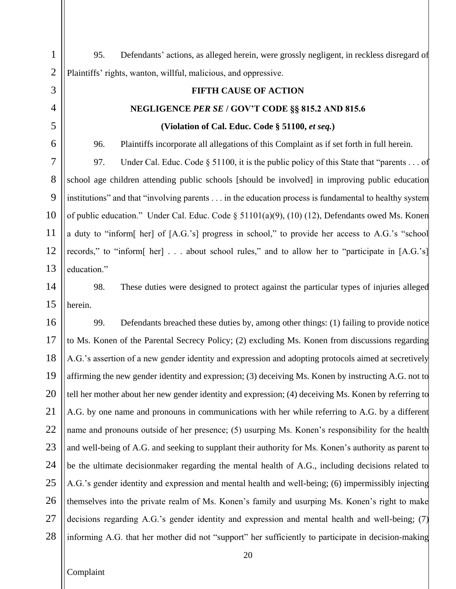95. Defendants' actions, as alleged herein, were grossly negligent, in reckless disregard of Plaintiffs' rights, wanton, willful, malicious, and oppressive.

## **NEGLIGENCE** *PER SE* **/ GOV'T CODE §§ 815.2 AND 815.6 (Violation of Cal. Educ. Code § 51100,** *et seq.***)**

**FIFTH CAUSE OF ACTION**

96. Plaintiffs incorporate all allegations of this Complaint as if set forth in full herein.

97. Under Cal. Educ. Code § 51100, it is the public policy of this State that "parents . . . of school age children attending public schools [should be involved] in improving public education institutions" and that "involving parents . . . in the education process is fundamental to healthy system of public education." Under Cal. Educ. Code § 51101(a)(9), (10) (12), Defendants owed Ms. Konen a duty to "inform[ her] of [A.G.'s] progress in school," to provide her access to A.G.'s "school records," to "inform[ her] . . . about school rules," and to allow her to "participate in [A.G.'s] education."

98. These duties were designed to protect against the particular types of injuries alleged herein.

99. Defendants breached these duties by, among other things: (1) failing to provide notice to Ms. Konen of the Parental Secrecy Policy; (2) excluding Ms. Konen from discussions regarding A.G.'s assertion of a new gender identity and expression and adopting protocols aimed at secretively affirming the new gender identity and expression; (3) deceiving Ms. Konen by instructing A.G. not to tell her mother about her new gender identity and expression; (4) deceiving Ms. Konen by referring to A.G. by one name and pronouns in communications with her while referring to A.G. by a different name and pronouns outside of her presence; (5) usurping Ms. Konen's responsibility for the health and well-being of A.G. and seeking to supplant their authority for Ms. Konen's authority as parent to be the ultimate decisionmaker regarding the mental health of A.G., including decisions related to A.G.'s gender identity and expression and mental health and well-being; (6) impermissibly injecting themselves into the private realm of Ms. Konen's family and usurping Ms. Konen's right to make decisions regarding A.G.'s gender identity and expression and mental health and well-being; (7) informing A.G. that her mother did not "support" her sufficiently to participate in decision-making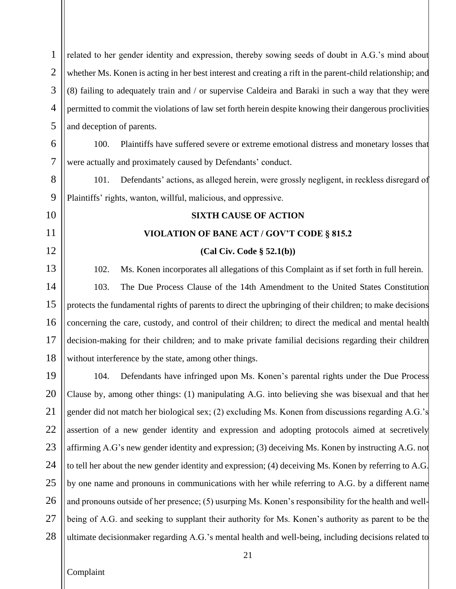related to her gender identity and expression, thereby sowing seeds of doubt in A.G.'s mind about whether Ms. Konen is acting in her best interest and creating a rift in the parent-child relationship; and (8) failing to adequately train and / or supervise Caldeira and Baraki in such a way that they were permitted to commit the violations of law set forth herein despite knowing their dangerous proclivities and deception of parents.

6

7

10

11

12

13

14

15

16

17

18

1

2

3

4

5

100. Plaintiffs have suffered severe or extreme emotional distress and monetary losses that were actually and proximately caused by Defendants' conduct.

8 9 101. Defendants' actions, as alleged herein, were grossly negligent, in reckless disregard of Plaintiffs' rights, wanton, willful, malicious, and oppressive.

### **SIXTH CAUSE OF ACTION**

#### **VIOLATION OF BANE ACT / GOV'T CODE § 815.2**

#### **(Cal Civ. Code § 52.1(b))**

102. Ms. Konen incorporates all allegations of this Complaint as if set forth in full herein. 103. The Due Process Clause of the 14th Amendment to the United States Constitution protects the fundamental rights of parents to direct the upbringing of their children; to make decisions concerning the care, custody, and control of their children; to direct the medical and mental health decision-making for their children; and to make private familial decisions regarding their children without interference by the state, among other things.

19 20 21 22 23 24 25 26 27 28 104. Defendants have infringed upon Ms. Konen's parental rights under the Due Process Clause by, among other things: (1) manipulating A.G. into believing she was bisexual and that her gender did not match her biological sex; (2) excluding Ms. Konen from discussions regarding A.G.'s assertion of a new gender identity and expression and adopting protocols aimed at secretively affirming A.G's new gender identity and expression; (3) deceiving Ms. Konen by instructing A.G. not to tell her about the new gender identity and expression; (4) deceiving Ms. Konen by referring to A.G. by one name and pronouns in communications with her while referring to A.G. by a different name and pronouns outside of her presence; (5) usurping Ms. Konen's responsibility for the health and wellbeing of A.G. and seeking to supplant their authority for Ms. Konen's authority as parent to be the ultimate decisionmaker regarding A.G.'s mental health and well-being, including decisions related to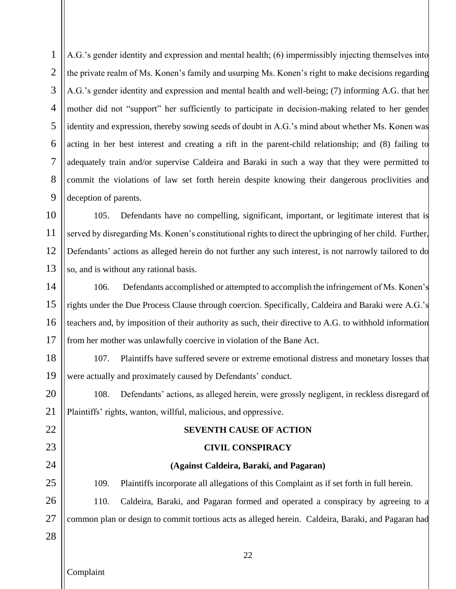1 2 3 4 5 6 7 8 9 A.G.'s gender identity and expression and mental health; (6) impermissibly injecting themselves into the private realm of Ms. Konen's family and usurping Ms. Konen's right to make decisions regarding A.G.'s gender identity and expression and mental health and well-being; (7) informing A.G. that her mother did not "support" her sufficiently to participate in decision-making related to her gender identity and expression, thereby sowing seeds of doubt in A.G.'s mind about whether Ms. Konen was acting in her best interest and creating a rift in the parent-child relationship; and (8) failing to adequately train and/or supervise Caldeira and Baraki in such a way that they were permitted to commit the violations of law set forth herein despite knowing their dangerous proclivities and deception of parents.

10 11 12 13 105. Defendants have no compelling, significant, important, or legitimate interest that is served by disregarding Ms. Konen's constitutional rights to direct the upbringing of her child. Further, Defendants' actions as alleged herein do not further any such interest, is not narrowly tailored to do so, and is without any rational basis.

14 15 16 17 106. Defendants accomplished or attempted to accomplish the infringement of Ms. Konen's rights under the Due Process Clause through coercion. Specifically, Caldeira and Baraki were A.G.'s teachers and, by imposition of their authority as such, their directive to A.G. to withhold information from her mother was unlawfully coercive in violation of the Bane Act.

18 19 107. Plaintiffs have suffered severe or extreme emotional distress and monetary losses that were actually and proximately caused by Defendants' conduct.

20 21 108. Defendants' actions, as alleged herein, were grossly negligent, in reckless disregard of Plaintiffs' rights, wanton, willful, malicious, and oppressive.

## **SEVENTH CAUSE OF ACTION**

## **CIVIL CONSPIRACY**

### **(Against Caldeira, Baraki, and Pagaran)**

25 26 27 109. Plaintiffs incorporate all allegations of this Complaint as if set forth in full herein. 110. Caldeira, Baraki, and Pagaran formed and operated a conspiracy by agreeing to a common plan or design to commit tortious acts as alleged herein. Caldeira, Baraki, and Pagaran had

28

22

23

24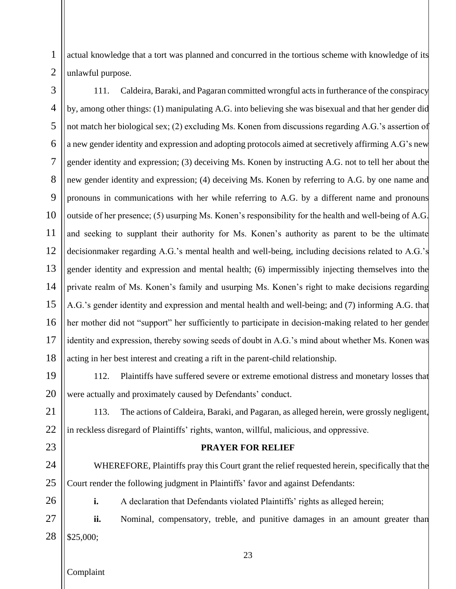1 2 actual knowledge that a tort was planned and concurred in the tortious scheme with knowledge of its unlawful purpose.

3 4 5 6 7 8 9 10 11 12 13 14 15 16 17 18 111. Caldeira, Baraki, and Pagaran committed wrongful acts in furtherance of the conspiracy by, among other things: (1) manipulating A.G. into believing she was bisexual and that her gender did not match her biological sex; (2) excluding Ms. Konen from discussions regarding A.G.'s assertion of a new gender identity and expression and adopting protocols aimed at secretively affirming A.G's new gender identity and expression; (3) deceiving Ms. Konen by instructing A.G. not to tell her about the new gender identity and expression; (4) deceiving Ms. Konen by referring to A.G. by one name and pronouns in communications with her while referring to A.G. by a different name and pronouns outside of her presence; (5) usurping Ms. Konen's responsibility for the health and well-being of A.G. and seeking to supplant their authority for Ms. Konen's authority as parent to be the ultimate decisionmaker regarding A.G.'s mental health and well-being, including decisions related to A.G.'s gender identity and expression and mental health; (6) impermissibly injecting themselves into the private realm of Ms. Konen's family and usurping Ms. Konen's right to make decisions regarding A.G.'s gender identity and expression and mental health and well-being; and (7) informing A.G. that her mother did not "support" her sufficiently to participate in decision-making related to her gender identity and expression, thereby sowing seeds of doubt in A.G.'s mind about whether Ms. Konen was acting in her best interest and creating a rift in the parent-child relationship.

19 20 112. Plaintiffs have suffered severe or extreme emotional distress and monetary losses that were actually and proximately caused by Defendants' conduct.

21 22 113. The actions of Caldeira, Baraki, and Pagaran, as alleged herein, were grossly negligent, in reckless disregard of Plaintiffs' rights, wanton, willful, malicious, and oppressive.

### **PRAYER FOR RELIEF**

WHEREFORE, Plaintiffs pray this Court grant the relief requested herein, specifically that the Court render the following judgment in Plaintiffs' favor and against Defendants:

26

23

24

25

**i.** A declaration that Defendants violated Plaintiffs' rights as alleged herein;

27 28 **ii.** Nominal, compensatory, treble, and punitive damages in an amount greater than \$25,000;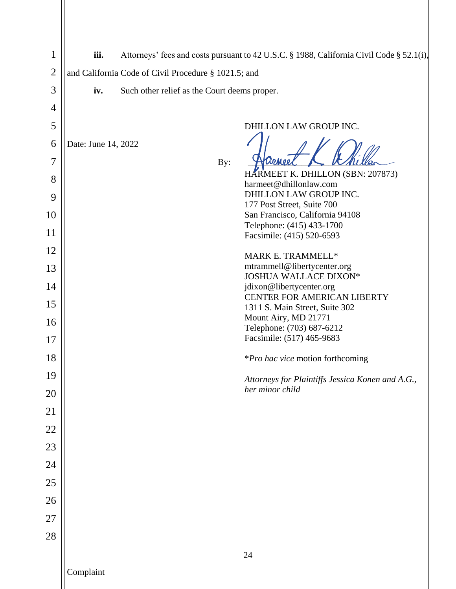| $\mathbf 1$    | iii.<br>Attorneys' fees and costs pursuant to 42 U.S.C. § 1988, California Civil Code § 52.1(i), |                                              |                                                                      |
|----------------|--------------------------------------------------------------------------------------------------|----------------------------------------------|----------------------------------------------------------------------|
| $\mathfrak{2}$ | and California Code of Civil Procedure § 1021.5; and                                             |                                              |                                                                      |
| 3              | iv.                                                                                              | Such other relief as the Court deems proper. |                                                                      |
| $\overline{4}$ |                                                                                                  |                                              |                                                                      |
| 5              |                                                                                                  |                                              | DHILLON LAW GROUP INC.                                               |
| 6              | Date: June 14, 2022                                                                              |                                              |                                                                      |
| 7              |                                                                                                  | By:                                          | Harnee                                                               |
| 8              |                                                                                                  |                                              | HARMEET K. DHILLON (SBN: 207873)<br>harmeet@dhillonlaw.com           |
| 9              |                                                                                                  |                                              | DHILLON LAW GROUP INC.                                               |
| 10             |                                                                                                  |                                              | 177 Post Street, Suite 700<br>San Francisco, California 94108        |
| 11             |                                                                                                  |                                              | Telephone: (415) 433-1700<br>Facsimile: (415) 520-6593               |
| 12             |                                                                                                  |                                              | MARK E. TRAMMELL*                                                    |
| 13             |                                                                                                  |                                              | mtrammell@libertycenter.org                                          |
| 14             |                                                                                                  |                                              | JOSHUA WALLACE DIXON*<br>jdixon@libertycenter.org                    |
| 15             |                                                                                                  |                                              | <b>CENTER FOR AMERICAN LIBERTY</b><br>1311 S. Main Street, Suite 302 |
| 16             |                                                                                                  |                                              | Mount Airy, MD 21771                                                 |
| 17             |                                                                                                  |                                              | Telephone: (703) 687-6212<br>Facsimile: (517) 465-9683               |
| 18             |                                                                                                  |                                              | *Pro hac vice motion forthcoming                                     |
| 19             |                                                                                                  |                                              | Attorneys for Plaintiffs Jessica Konen and A.G.,                     |
| 20             |                                                                                                  |                                              | her minor child                                                      |
| 21             |                                                                                                  |                                              |                                                                      |
| 22             |                                                                                                  |                                              |                                                                      |
| 23             |                                                                                                  |                                              |                                                                      |
| 24             |                                                                                                  |                                              |                                                                      |
| 25             |                                                                                                  |                                              |                                                                      |
| 26             |                                                                                                  |                                              |                                                                      |
| 27             |                                                                                                  |                                              |                                                                      |
| 28             |                                                                                                  |                                              |                                                                      |
|                |                                                                                                  |                                              | 24                                                                   |
|                | Complaint                                                                                        |                                              |                                                                      |